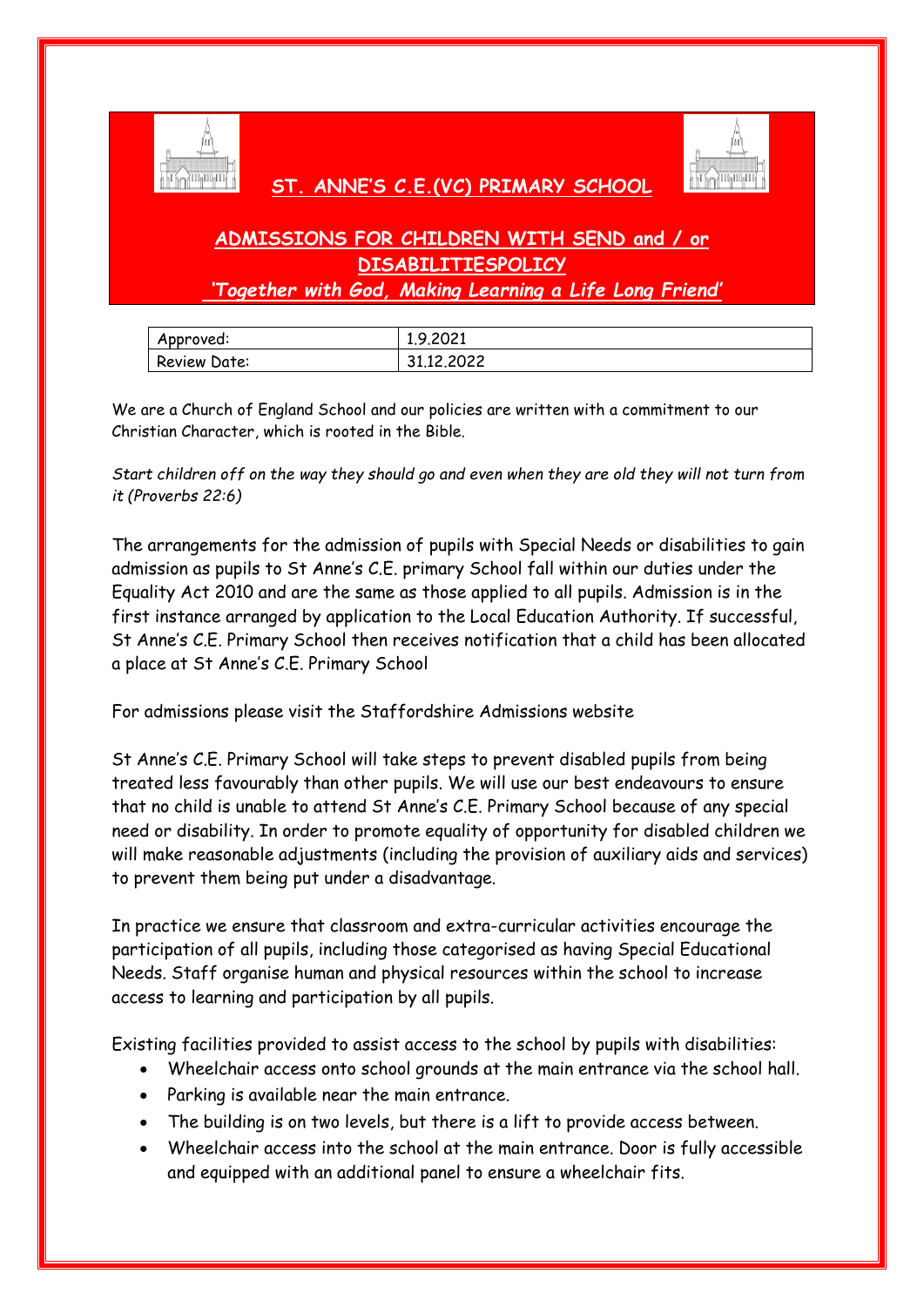

## **ST. ANNE'S C.E.(VC) PRIMARY SCHOOL**



## **ADMISSIONS FOR CHILDREN WITH SEND and / or DISABILITIESPOLICY**

*'Together with God, Making Learning a Life Long Friend'*

| Approved:    | 1.9.2021   |
|--------------|------------|
| Review Date: | 31.12.2022 |

We are a Church of England School and our policies are written with a commitment to our Christian Character, which is rooted in the Bible.

*Start children off on the way they should go and even when they are old they will not turn from it (Proverbs 22:6)*

The arrangements for the admission of pupils with Special Needs or disabilities to gain admission as pupils to St Anne's C.E. primary School fall within our duties under the Equality Act 2010 and are the same as those applied to all pupils. Admission is in the first instance arranged by application to the Local Education Authority. If successful, St Anne's C.E. Primary School then receives notification that a child has been allocated a place at St Anne's C.E. Primary School

For admissions please visit the Staffordshire Admissions website

St Anne's C.E. Primary School will take steps to prevent disabled pupils from being treated less favourably than other pupils. We will use our best endeavours to ensure that no child is unable to attend St Anne's C.E. Primary School because of any special need or disability. In order to promote equality of opportunity for disabled children we will make reasonable adjustments (including the provision of auxiliary aids and services) to prevent them being put under a disadvantage.

In practice we ensure that classroom and extra-curricular activities encourage the participation of all pupils, including those categorised as having Special Educational Needs. Staff organise human and physical resources within the school to increase access to learning and participation by all pupils.

Existing facilities provided to assist access to the school by pupils with disabilities:

- Wheelchair access onto school grounds at the main entrance via the school hall.
- Parking is available near the main entrance.
- The building is on two levels, but there is a lift to provide access between.
- Wheelchair access into the school at the main entrance. Door is fully accessible and equipped with an additional panel to ensure a wheelchair fits.